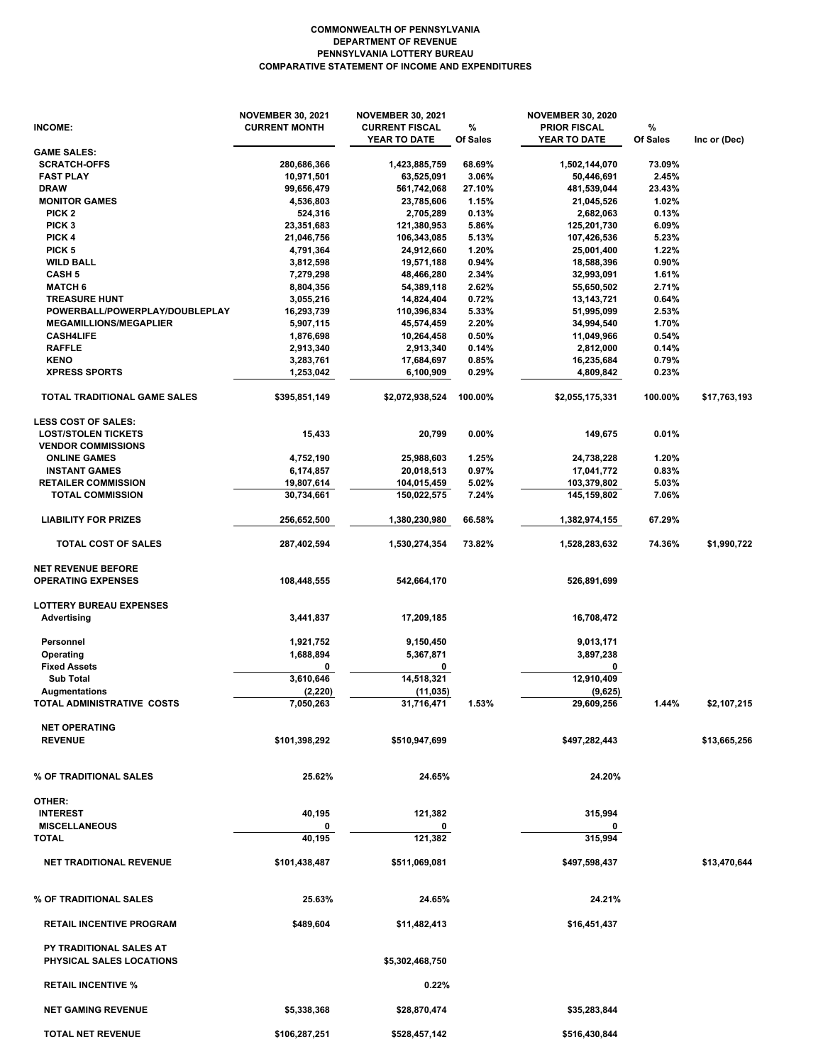## **COMPARATIVE STATEMENT OF INCOME AND EXPENDITURES PENNSYLVANIA LOTTERY BUREAU DEPARTMENT OF REVENUE COMMONWEALTH OF PENNSYLVANIA**

|                                                                   | <b>NOVEMBER 30, 2021</b> | <b>NOVEMBER 30, 2021</b> |          | <b>NOVEMBER 30, 2020</b> |          |              |
|-------------------------------------------------------------------|--------------------------|--------------------------|----------|--------------------------|----------|--------------|
| INCOME:                                                           | <b>CURRENT MONTH</b>     | <b>CURRENT FISCAL</b>    | %        | <b>PRIOR FISCAL</b>      | %        |              |
| <b>GAME SALES:</b>                                                |                          | YEAR TO DATE             | Of Sales | YEAR TO DATE             | Of Sales | Inc or (Dec) |
| <b>SCRATCH-OFFS</b>                                               | 280,686,366              | 1,423,885,759            | 68.69%   | 1,502,144,070            | 73.09%   |              |
| <b>FAST PLAY</b>                                                  | 10,971,501               | 63,525,091               | 3.06%    | 50,446,691               | 2.45%    |              |
| <b>DRAW</b>                                                       | 99,656,479               | 561,742,068              | 27.10%   | 481,539,044              | 23.43%   |              |
| <b>MONITOR GAMES</b>                                              | 4,536,803                | 23,785,606               | 1.15%    | 21,045,526               | 1.02%    |              |
| PICK <sub>2</sub>                                                 | 524,316                  | 2,705,289                | 0.13%    | 2,682,063                | 0.13%    |              |
| PICK <sub>3</sub>                                                 | 23,351,683               | 121,380,953              | 5.86%    | 125,201,730              | 6.09%    |              |
| PICK 4                                                            | 21,046,756               | 106,343,085              | 5.13%    | 107,426,536              | 5.23%    |              |
| PICK <sub>5</sub>                                                 | 4,791,364                | 24,912,660               | 1.20%    | 25,001,400               | 1.22%    |              |
| <b>WILD BALL</b>                                                  | 3,812,598                | 19,571,188               | 0.94%    | 18,588,396               | 0.90%    |              |
| <b>CASH 5</b>                                                     | 7,279,298                | 48,466,280               | 2.34%    | 32,993,091               | 1.61%    |              |
| <b>MATCH 6</b>                                                    | 8,804,356                | 54,389,118               | 2.62%    | 55,650,502               | 2.71%    |              |
| <b>TREASURE HUNT</b>                                              | 3,055,216                | 14,824,404               | 0.72%    | 13,143,721               | 0.64%    |              |
| POWERBALL/POWERPLAY/DOUBLEPLAY                                    | 16,293,739               | 110,396,834              | 5.33%    | 51,995,099               | 2.53%    |              |
| <b>MEGAMILLIONS/MEGAPLIER</b>                                     | 5,907,115                | 45,574,459               | 2.20%    | 34,994,540               | 1.70%    |              |
| <b>CASH4LIFE</b>                                                  | 1,876,698                | 10,264,458               | 0.50%    | 11,049,966               | 0.54%    |              |
| <b>RAFFLE</b>                                                     | 2,913,340                | 2,913,340                | 0.14%    | 2,812,000                | 0.14%    |              |
| <b>KENO</b>                                                       | 3,283,761                | 17,684,697               | 0.85%    | 16,235,684               | 0.79%    |              |
| <b>XPRESS SPORTS</b>                                              | 1,253,042                | 6,100,909                | 0.29%    | 4,809,842                | 0.23%    |              |
| TOTAL TRADITIONAL GAME SALES                                      | \$395,851,149            | \$2,072,938,524          | 100.00%  | \$2,055,175,331          | 100.00%  | \$17,763,193 |
| <b>LESS COST OF SALES:</b>                                        |                          |                          |          |                          |          |              |
| <b>LOST/STOLEN TICKETS</b>                                        | 15,433                   | 20,799                   | 0.00%    | 149,675                  | 0.01%    |              |
| <b>VENDOR COMMISSIONS</b>                                         |                          |                          |          |                          |          |              |
| <b>ONLINE GAMES</b>                                               | 4,752,190                | 25,988,603               | 1.25%    | 24,738,228               | 1.20%    |              |
| <b>INSTANT GAMES</b>                                              | 6,174,857                | 20,018,513               | 0.97%    | 17,041,772               | 0.83%    |              |
| <b>RETAILER COMMISSION</b>                                        | 19,807,614               | 104,015,459              | 5.02%    | 103,379,802              | 5.03%    |              |
| <b>TOTAL COMMISSION</b>                                           | 30,734,661               | 150,022,575              | 7.24%    | 145,159,802              | 7.06%    |              |
| <b>LIABILITY FOR PRIZES</b>                                       | 256,652,500              | 1,380,230,980            | 66.58%   | 1,382,974,155            | 67.29%   |              |
| TOTAL COST OF SALES                                               | 287,402,594              | 1,530,274,354            | 73.82%   | 1,528,283,632            | 74.36%   | \$1,990,722  |
|                                                                   |                          |                          |          |                          |          |              |
| <b>NET REVENUE BEFORE</b><br><b>OPERATING EXPENSES</b>            | 108,448,555              | 542,664,170              |          | 526,891,699              |          |              |
| <b>LOTTERY BUREAU EXPENSES</b>                                    |                          |                          |          |                          |          |              |
| Advertising                                                       | 3,441,837                | 17,209,185               |          | 16,708,472               |          |              |
|                                                                   |                          |                          |          |                          |          |              |
| Personnel                                                         | 1,921,752                | 9,150,450                |          | 9,013,171                |          |              |
| Operating                                                         | 1,688,894                | 5,367,871                |          | 3,897,238                |          |              |
| <b>Fixed Assets</b>                                               | 0                        | 0                        |          | 0                        |          |              |
| <b>Sub Total</b>                                                  | 3,610,646                | 14,518,321               |          | 12,910,409               |          |              |
| Augmentations                                                     | (2, 220)                 | (11, 035)                |          | (9,625)                  |          |              |
| TOTAL ADMINISTRATIVE COSTS                                        | 7,050,263                | 31,716,471               | 1.53%    | 29,609,256               | 1.44%    | \$2,107,215  |
| <b>NET OPERATING</b>                                              |                          |                          |          |                          |          |              |
| <b>REVENUE</b>                                                    | \$101,398,292            | \$510,947,699            |          | \$497,282,443            |          | \$13,665,256 |
|                                                                   |                          |                          |          |                          |          |              |
|                                                                   |                          |                          |          |                          |          |              |
| % OF TRADITIONAL SALES                                            | 25.62%                   | 24.65%                   |          | 24.20%                   |          |              |
| OTHER:                                                            |                          |                          |          |                          |          |              |
| <b>INTEREST</b>                                                   | 40,195                   | 121,382                  |          | 315,994                  |          |              |
| <b>MISCELLANEOUS</b>                                              |                          |                          |          |                          |          |              |
| <b>TOTAL</b>                                                      | 40,195                   | 121,382                  |          | 315,994                  |          |              |
|                                                                   |                          |                          |          |                          |          |              |
| <b>NET TRADITIONAL REVENUE</b>                                    | \$101,438,487            | \$511,069,081            |          | \$497,598,437            |          | \$13,470,644 |
| % OF TRADITIONAL SALES                                            | 25.63%                   | 24.65%                   |          | 24.21%                   |          |              |
| <b>RETAIL INCENTIVE PROGRAM</b>                                   | \$489,604                | \$11,482,413             |          | \$16,451,437             |          |              |
|                                                                   |                          |                          |          |                          |          |              |
| <b>PY TRADITIONAL SALES AT</b><br><b>PHYSICAL SALES LOCATIONS</b> |                          | \$5,302,468,750          |          |                          |          |              |
| <b>RETAIL INCENTIVE %</b>                                         |                          | 0.22%                    |          |                          |          |              |
| <b>NET GAMING REVENUE</b>                                         | \$5,338,368              | \$28,870,474             |          | \$35,283,844             |          |              |
| <b>TOTAL NET REVENUE</b>                                          | \$106,287,251            | \$528,457,142            |          | \$516,430,844            |          |              |